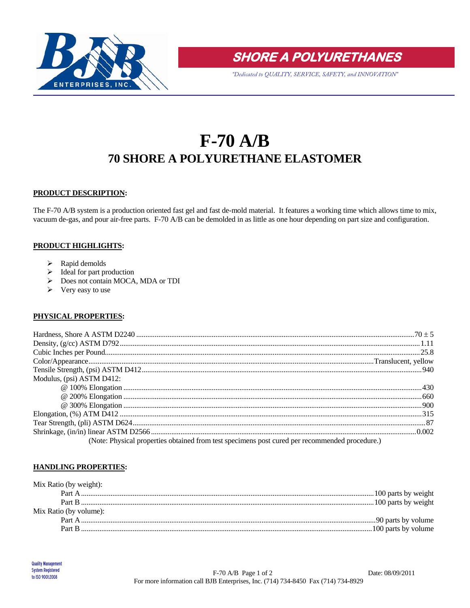



"Dedicated to QUALITY, SERVICE, SAFETY, and INNOVATION"

# $F-70$  A/B **70 SHORE A POLYURETHANE ELASTOMER**

# PRODUCT DESCRIPTION:

The F-70 A/B system is a production oriented fast gel and fast de-mold material. It features a working time which allows time to mix, vacuum de-gas, and pour air-free parts. F-70 A/B can be demolded in as little as one hour depending on part size and configuration.

# **PRODUCT HIGHLIGHTS:**

- $\triangleright$  Rapid demolds
- $\triangleright$  Ideal for part production
- $\triangleright$  Does not contain MOCA, MDA or TDI
- $\triangleright$  Very easy to use

# PHYSICAL PROPERTIES:

| Modulus, (psi) ASTM D412:                                                                      |  |
|------------------------------------------------------------------------------------------------|--|
|                                                                                                |  |
|                                                                                                |  |
|                                                                                                |  |
|                                                                                                |  |
|                                                                                                |  |
|                                                                                                |  |
| (Note: Physical properties obtained from test specimens post cured per recommended procedure.) |  |

#### **HANDLING PROPERTIES:**

| Mix Ratio (by weight): |  |
|------------------------|--|
| Part A                 |  |
|                        |  |
| Mix Ratio (by volume): |  |
|                        |  |
| Part R                 |  |